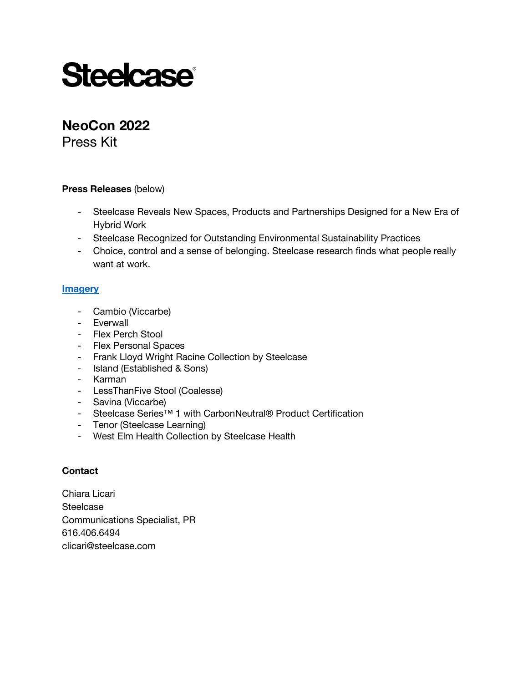# **Steelcase®**

# **NeoCon 2022**

Press Kit

## **Press Releases** (below)

- Steelcase Reveals New Spaces, Products and Partnerships Designed for a New Era of Hybrid Work
- Steelcase Recognized for Outstanding Environmental Sustainability Practices
- Choice, control and a sense of belonging. Steelcase research finds what people really want at work.

## **[Imagery](https://da.steelcase.com/portals/789tqsus/NeoCon2022Imagery)**

- Cambio (Viccarbe)
- Everwall
- Flex Perch Stool
- Flex Personal Spaces
- Frank Lloyd Wright Racine Collection by Steelcase
- Island (Established & Sons)
- Karman
- LessThanFive Stool (Coalesse)
- Savina (Viccarbe)
- Steelcase Series™ 1 with CarbonNeutral® Product Certification
- Tenor (Steelcase Learning)
- West Elm Health Collection by Steelcase Health

## **Contact**

Chiara Licari **Steelcase** Communications Specialist, PR 616.406.6494 <clicari@steelcase.com>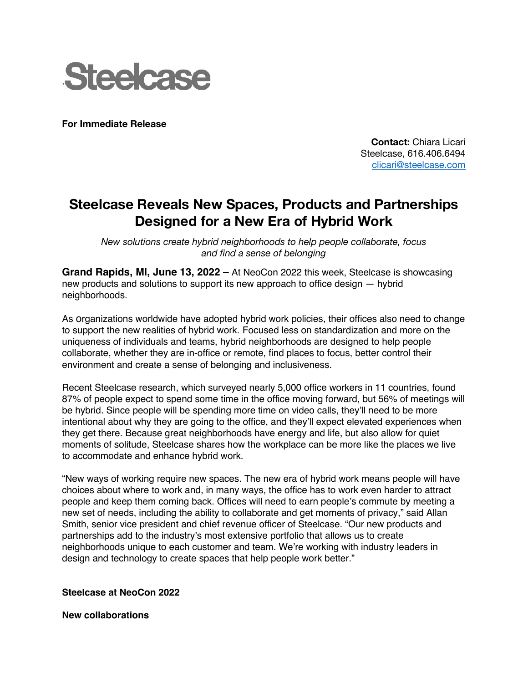

**For Immediate Release**

**Contact:** Chiara Licari Steelcase, 616.406.6494 <clicari@steelcase.com>

## **Steelcase Reveals New Spaces, Products and Partnerships Designed for a New Era of Hybrid Work**

*New solutions create hybrid neighborhoods to help people collaborate, focus and find a sense of belonging*

**Grand Rapids, MI, June 13, 2022 –** At NeoCon 2022 this week, Steelcase is showcasing new products and solutions to support its new approach to office design — hybrid neighborhoods.

As organizations worldwide have adopted hybrid work policies, their offices also need to change to support the new realities of hybrid work. Focused less on standardization and more on the uniqueness of individuals and teams, hybrid neighborhoods are designed to help people collaborate, whether they are in-office or remote, find places to focus, better control their environment and create a sense of belonging and inclusiveness.

Recent Steelcase research, which surveyed nearly 5,000 office workers in 11 countries, found 87% of people expect to spend some time in the office moving forward, but 56% of meetings will be hybrid. Since people will be spending more time on video calls, they'll need to be more intentional about why they are going to the office, and they'll expect elevated experiences when they get there. Because great neighborhoods have energy and life, but also allow for quiet moments of solitude, Steelcase shares how the workplace can be more like the places we live to accommodate and enhance hybrid work.

"New ways of working require new spaces. The new era of hybrid work means people will have choices about where to work and, in many ways, the office has to work even harder to attract people and keep them coming back. Offices will need to earn people's commute by meeting a new set of needs, including the ability to collaborate and get moments of privacy," said Allan Smith, senior vice president and chief revenue officer of Steelcase. "Our new products and partnerships add to the industry's most extensive portfolio that allows us to create neighborhoods unique to each customer and team. We're working with industry leaders in design and technology to create spaces that help people work better."

**Steelcase at NeoCon 2022**

**New collaborations**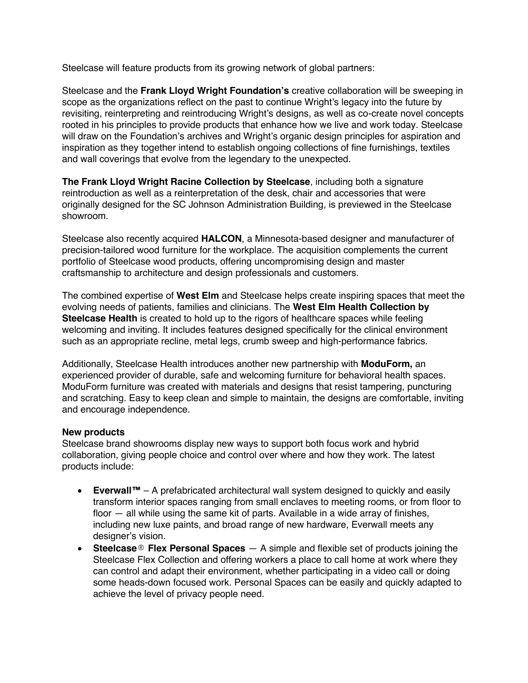Steelcase will feature products from its growing network of global partners:

Steelcase and the **Frank Lloyd Wright Foundation's** creative collaboration will be sweeping in scope as the organizations reflect on the past to continue Wright's legacy into the future by revisiting, reinterpreting and reintroducing Wright's designs, as well as co-create novel concepts rooted in his principles to provide products that enhance how we live and work today. Steelcase will draw on the Foundation's archives and Wright's organic design principles for aspiration and inspiration as they together intend to establish ongoing collections of fine furnishings, textiles and wall coverings that evolve from the legendary to the unexpected.

**The Frank Lloyd Wright Racine Collection by Steelcase**, including both a signature reintroduction as well as a reinterpretation of the desk, chair and accessories that were originally designed for the SC Johnson Administration Building, is previewed in the Steelcase showroom.

Steelcase also recently acquired **HALCON**, a Minnesota-based designer and manufacturer of precision-tailored wood furniture for the workplace. The acquisition complements the current portfolio of Steelcase wood products, offering uncompromising design and master craftsmanship to architecture and design professionals and customers.

The combined expertise of **West Elm** and Steelcase helps create inspiring spaces that meet the evolving needs of patients, families and clinicians. The **West Elm Health Collection by Steelcase Health** is created to hold up to the rigors of healthcare spaces while feeling welcoming and inviting. It includes features designed specifically for the clinical environment such as an appropriate recline, metal legs, crumb sweep and high-performance fabrics.

Additionally, Steelcase Health introduces another new partnership with **ModuForm,** an experienced provider of durable, safe and welcoming furniture for behavioral health spaces. ModuForm furniture was created with materials and designs that resist tampering, puncturing and scratching. Easy to keep clean and simple to maintain, the designs are comfortable, inviting and encourage independence.

## **New products**

Steelcase brand showrooms display new ways to support both focus work and hybrid collaboration, giving people choice and control over where and how they work. The latest products include:

- **Everwall™** A prefabricated architectural wall system designed to quickly and easily transform interior spaces ranging from small enclaves to meeting rooms, or from floor to floor — all while using the same kit of parts. Available in a wide array of finishes, including new luxe paints, and broad range of new hardware, Everwall meets any designer's vision.
- **Steelcase**® **Flex Personal Spaces** A simple and flexible set of products joining the Steelcase Flex Collection and offering workers a place to call home at work where they can control and adapt their environment, whether participating in a video call or doing some heads-down focused work. Personal Spaces can be easily and quickly adapted to achieve the level of privacy people need.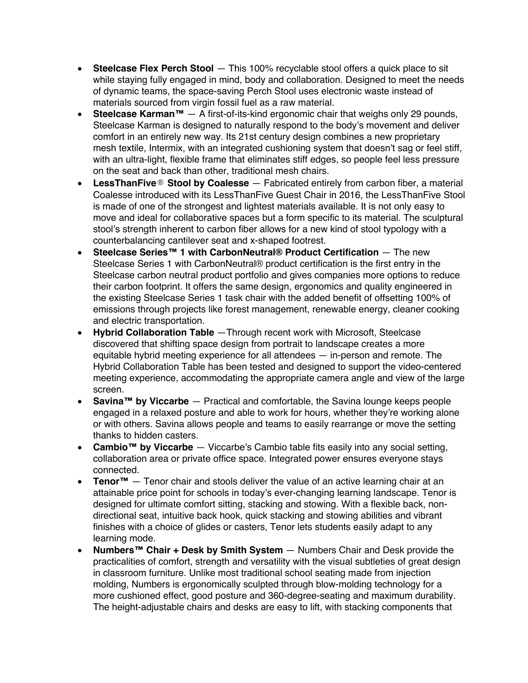- **Steelcase Flex Perch Stool** This 100% recyclable stool offers a quick place to sit while staying fully engaged in mind, body and collaboration. Designed to meet the needs of dynamic teams, the space-saving Perch Stool uses electronic waste instead of materials sourced from virgin fossil fuel as a raw material.
- **Steelcase Karman™** A first-of-its-kind ergonomic chair that weighs only 29 pounds, Steelcase Karman is designed to naturally respond to the body's movement and deliver comfort in an entirely new way. Its 21st century design combines a new proprietary mesh textile, Intermix, with an integrated cushioning system that doesn't sag or feel stiff, with an ultra-light, flexible frame that eliminates stiff edges, so people feel less pressure on the seat and back than other, traditional mesh chairs.
- **LessThanFive**® **Stool by Coalesse** Fabricated entirely from carbon fiber, a material Coalesse introduced with its LessThanFive Guest Chair in 2016, the LessThanFive Stool is made of one of the strongest and lightest materials available. It is not only easy to move and ideal for collaborative spaces but a form specific to its material. The sculptural stool's strength inherent to carbon fiber allows for a new kind of stool typology with a counterbalancing cantilever seat and x-shaped footrest.
- **Steelcase Series™ 1 with CarbonNeutral® Product Certification** The new Steelcase Series 1 with CarbonNeutral® product certification is the first entry in the Steelcase carbon neutral product portfolio and gives companies more options to reduce their carbon footprint. It offers the same design, ergonomics and quality engineered in the existing Steelcase Series 1 task chair with the added benefit of offsetting 100% of emissions through projects like forest management, renewable energy, cleaner cooking and electric transportation.
- **Hybrid Collaboration Table** —Through recent work with Microsoft, Steelcase discovered that shifting space design from portrait to landscape creates a more equitable hybrid meeting experience for all attendees — in-person and remote. The Hybrid Collaboration Table has been tested and designed to support the video-centered meeting experience, accommodating the appropriate camera angle and view of the large screen.
- **Savina™ by Viccarbe** Practical and comfortable, the Savina lounge keeps people engaged in a relaxed posture and able to work for hours, whether they're working alone or with others. Savina allows people and teams to easily rearrange or move the setting thanks to hidden casters.
- **Cambio™ by Viccarbe** Viccarbe's Cambio table fits easily into any social setting, collaboration area or private office space. Integrated power ensures everyone stays connected.
- **Tenor™** Tenor chair and stools deliver the value of an active learning chair at an attainable price point for schools in today's ever-changing learning landscape. Tenor is designed for ultimate comfort sitting, stacking and stowing. With a flexible back, nondirectional seat, intuitive back hook, quick stacking and stowing abilities and vibrant finishes with a choice of glides or casters, Tenor lets students easily adapt to any learning mode.
- **Numbers™ Chair + Desk by Smith System** Numbers Chair and Desk provide the practicalities of comfort, strength and versatility with the visual subtleties of great design in classroom furniture. Unlike most traditional school seating made from injection molding, Numbers is ergonomically sculpted through blow-molding technology for a more cushioned effect, good posture and 360-degree-seating and maximum durability. The height-adjustable chairs and desks are easy to lift, with stacking components that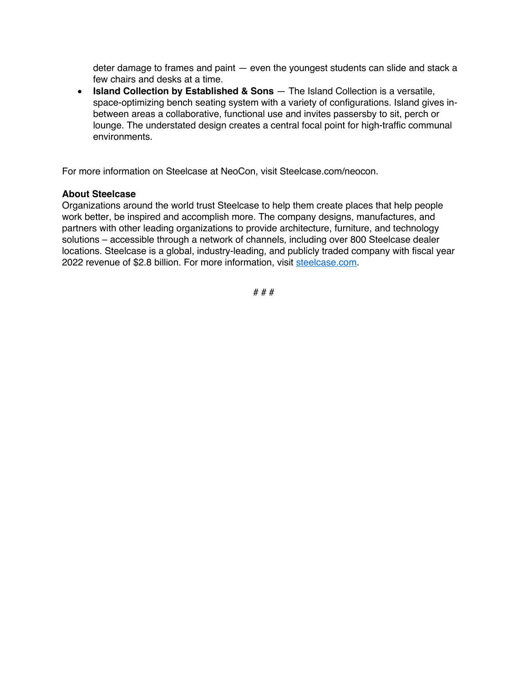deter damage to frames and paint — even the youngest students can slide and stack a few chairs and desks at a time.

• **Island Collection by Established & Sons** — The Island Collection is a versatile, space-optimizing bench seating system with a variety of configurations. Island gives inbetween areas a collaborative, functional use and invites passersby to sit, perch or lounge. The understated design creates a central focal point for high-traffic communal environments.

For more information on Steelcase at NeoCon, visit [Steelcase.com/neocon.](steelcase.com/neocon)

#### **About Steelcase**

Organizations around the world trust Steelcase to help them create places that help people work better, be inspired and accomplish more. The company designs, manufactures, and partners with other leading organizations to provide architecture, furniture, and technology solutions – accessible through a network of channels, including over 800 Steelcase dealer locations. Steelcase is a global, industry-leading, and publicly traded company with fiscal year 2022 revenue of \$2.8 billion. For more information, visit [steelcase.com.](steelcase.com)

# # #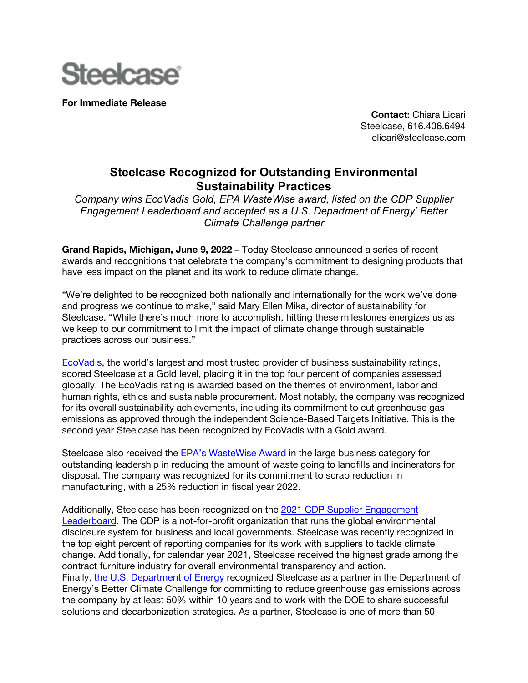

**For Immediate Release**

**Contact:** Chiara Licari Steelcase, 616.406.6494 <clicari@steelcase.com>

## **Steelcase Recognized for Outstanding Environmental Sustainability Practices**

*Company wins EcoVadis Gold, EPA WasteWise award, listed on the CDP Supplier Engagement Leaderboard and accepted as a U.S. Department of Energy' Better Climate Challenge partner*

**Grand Rapids, Michigan, June 9, 2022 –** Today Steelcase announced a series of recent awards and recognitions that celebrate the company's commitment to designing products that have less impact on the planet and its work to reduce climate change.

"We're delighted to be recognized both nationally and internationally for the work we've done and progress we continue to make," said Mary Ellen Mika, director of sustainability for Steelcase. "While there's much more to accomplish, hitting these milestones energizes us as we keep to our commitment to limit the impact of climate change through sustainable practices across our business."

[EcoVadis,](http://ecovadis.com/) the world's largest and most trusted provider of business sustainability ratings, scored Steelcase at a Gold level, placing it in the top four percent of companies assessed globally. The EcoVadis rating is awarded based on the themes of environment, labor and human rights, ethics and sustainable procurement. Most notably, the company was recognized for its overall sustainability achievements, including its commitment to cut greenhouse gas emissions as approved through the independent Science-Based Targets Initiative. This is the second year Steelcase has been recognized by EcoVadis with a Gold award.

Steelcase also received the [EPA's WasteWise Award](https://www.epa.gov/smm/2021-wastewise-regional-award-winners) in the large business category for outstanding leadership in reducing the amount of waste going to landfills and incinerators for disposal. The company was recognized for its commitment to scrap reduction in manufacturing, with a 25% reduction in fiscal year 2022.

Additionally, Steelcase has been recognized on the [2021 CDP Supplier Engagement](https://www.cdp.net/en/research/global-reports/changing-the-chain)  [Leaderboard.](https://www.cdp.net/en/research/global-reports/changing-the-chain) The CDP is a not-for-profit organization that runs the global environmental disclosure system for business and local governments. Steelcase was recently recognized in the top eight percent of reporting companies for its work with suppliers to tackle climate change. Additionally, for calendar year 2021, Steelcase received the highest grade among the contract furniture industry for overall environmental transparency and action. Finally, [the U.S. Department of Energy](https://betterbuildingssolutioncenter.energy.gov/climate-challenge) recognized Steelcase as a partner in the Department of Energy's Better Climate Challenge for committing to reduce greenhouse gas emissions across the company by at least 50% within 10 years and to work with the DOE to share successful solutions and decarbonization strategies. As a partner, Steelcase is one of more than 50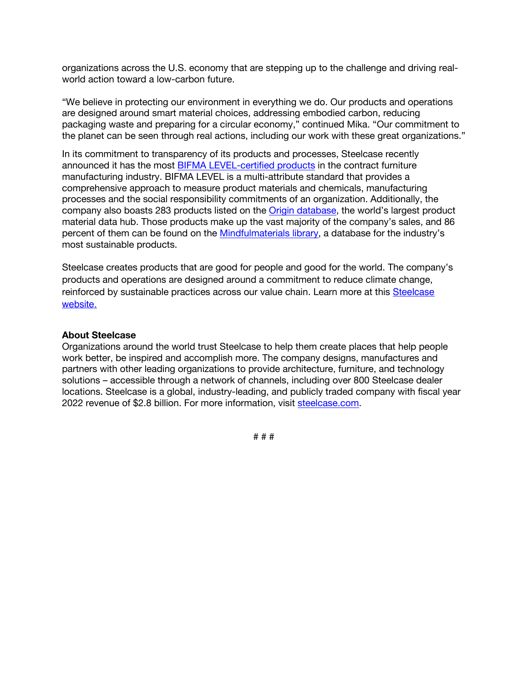organizations across the U.S. economy that are stepping up to the challenge and driving realworld action toward a low-carbon future.

"We believe in protecting our environment in everything we do. Our products and operations are designed around smart material choices, addressing embodied carbon, reducing packaging waste and preparing for a circular economy," continued Mika. "Our commitment to the planet can be seen through real actions, including our work with these great organizations."

In its commitment to transparency of its products and processes, Steelcase recently announced it has the most [BIFMA LEVEL-certified products](https://www.steelcase.com/press-releases/steelcase-takes-industry-lead-sustainability-standard-281-bifma-level-certified-products/) in the contract furniture manufacturing industry. BIFMA LEVEL is a multi-attribute standard that provides a comprehensive approach to measure product materials and chemicals, manufacturing processes and the social responsibility commitments of an organization. Additionally, the company also boasts 283 products listed on th[e Origin database, th](https://origin.build/#/)e world's largest product material data hub. Those products make up the vast majority of the company's sales, and 86 percent of them can be found on the [Mindfulmaterials library,](https://mindfulmaterials.origin.build/#/materials) a database for the industry's most sustainable products.

Steelcase creates products that are good for people and good for the world. The company's products and operations are designed around a commitment to reduce climate change, reinforced by sustainable practices across our value chain. Learn more at this [Steelcase](https://www.steelcase.com/discover/steelcase/esg-overview/environmental/)  [website.](https://www.steelcase.com/discover/steelcase/esg-overview/environmental/)

#### **About Steelcase**

Organizations around the world trust Steelcase to help them create places that help people work better, be inspired and accomplish more. The company designs, manufactures and partners with other leading organizations to provide architecture, furniture, and technology solutions – accessible through a network of channels, including over 800 Steelcase dealer locations. Steelcase is a global, industry-leading, and publicly traded company with fiscal year 2022 revenue of \$2.8 billion. For more information, visit [steelcase.com.](steelcase.com)

# # #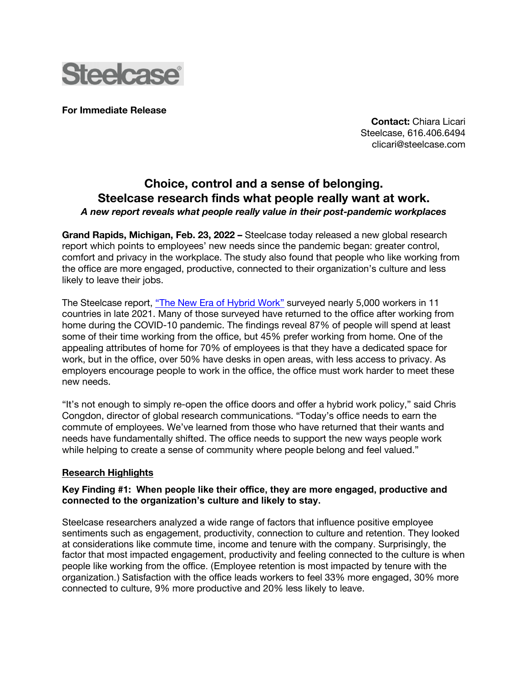

**For Immediate Release**

**Contact:** Chiara Licari Steelcase, 616.406.6494 <clicari@steelcase.com>

## **Choice, control and a sense of belonging. Steelcase research finds what people really want at work.** *A new report reveals what people really value in their post-pandemic workplaces*

**Grand Rapids, Michigan, Feb. 23, 2022 –** Steelcase today released a new global research report which points to employees' new needs since the pandemic began: greater control, comfort and privacy in the workplace. The study also found that people who like working from the office are more engaged, productive, connected to their organization's culture and less likely to leave their jobs.

The Steelcase report, ["The New Era of Hybrid Work"](steelcase.com/globalreport2022) surveyed nearly 5,000 workers in 11 countries in late 2021. Many of those surveyed have returned to the office after working from home during the COVID-10 pandemic. The findings reveal 87% of people will spend at least some of their time working from the office, but 45% prefer working from home. One of the appealing attributes of home for 70% of employees is that they have a dedicated space for work, but in the office, over 50% have desks in open areas, with less access to privacy. As employers encourage people to work in the office, the office must work harder to meet these new needs.

"It's not enough to simply re-open the office doors and offer a hybrid work policy," said Chris Congdon, director of global research communications. "Today's office needs to earn the commute of employees. We've learned from those who have returned that their wants and needs have fundamentally shifted. The office needs to support the new ways people work while helping to create a sense of community where people belong and feel valued."

## **Research Highlights**

## **Key Finding #1: When people like their office, they are more engaged, productive and connected to the organization's culture and likely to stay.**

Steelcase researchers analyzed a wide range of factors that influence positive employee sentiments such as engagement, productivity, connection to culture and retention. They looked at considerations like commute time, income and tenure with the company. Surprisingly, the factor that most impacted engagement, productivity and feeling connected to the culture is when people like working from the office. (Employee retention is most impacted by tenure with the organization.) Satisfaction with the office leads workers to feel 33% more engaged, 30% more connected to culture, 9% more productive and 20% less likely to leave.